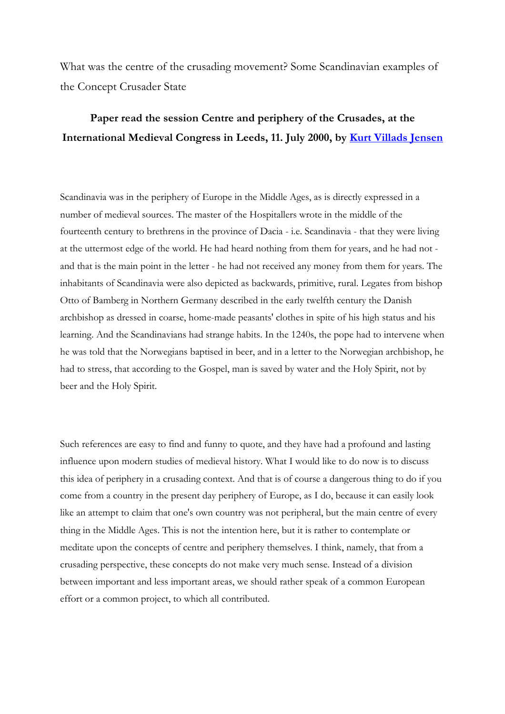What was the centre of the crusading movement? Some Scandinavian examples of the Concept Crusader State

## **Paper read the session Centre and periphery of the Crusades, at the International Medieval Congress in Leeds, 11. July 2000, by Kurt Villads Jensen**

Scandinavia was in the periphery of Europe in the Middle Ages, as is directly expressed in a number of medieval sources. The master of the Hospitallers wrote in the middle of the fourteenth century to brethrens in the province of Dacia - i.e. Scandinavia - that they were living at the uttermost edge of the world. He had heard nothing from them for years, and he had not and that is the main point in the letter - he had not received any money from them for years. The inhabitants of Scandinavia were also depicted as backwards, primitive, rural. Legates from bishop Otto of Bamberg in Northern Germany described in the early twelfth century the Danish archbishop as dressed in coarse, home-made peasants' clothes in spite of his high status and his learning. And the Scandinavians had strange habits. In the 1240s, the pope had to intervene when he was told that the Norwegians baptised in beer, and in a letter to the Norwegian archbishop, he had to stress, that according to the Gospel, man is saved by water and the Holy Spirit, not by beer and the Holy Spirit.

Such references are easy to find and funny to quote, and they have had a profound and lasting influence upon modern studies of medieval history. What I would like to do now is to discuss this idea of periphery in a crusading context. And that is of course a dangerous thing to do if you come from a country in the present day periphery of Europe, as I do, because it can easily look like an attempt to claim that one's own country was not peripheral, but the main centre of every thing in the Middle Ages. This is not the intention here, but it is rather to contemplate or meditate upon the concepts of centre and periphery themselves. I think, namely, that from a crusading perspective, these concepts do not make very much sense. Instead of a division between important and less important areas, we should rather speak of a common European effort or a common project, to which all contributed.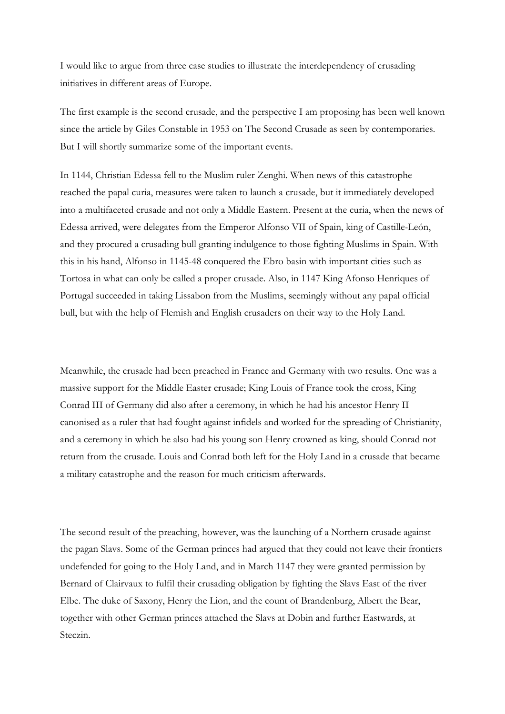I would like to argue from three case studies to illustrate the interdependency of crusading initiatives in different areas of Europe.

The first example is the second crusade, and the perspective I am proposing has been well known since the article by Giles Constable in 1953 on The Second Crusade as seen by contemporaries. But I will shortly summarize some of the important events.

In 1144, Christian Edessa fell to the Muslim ruler Zenghi. When news of this catastrophe reached the papal curia, measures were taken to launch a crusade, but it immediately developed into a multifaceted crusade and not only a Middle Eastern. Present at the curia, when the news of Edessa arrived, were delegates from the Emperor Alfonso VII of Spain, king of Castille-León, and they procured a crusading bull granting indulgence to those fighting Muslims in Spain. With this in his hand, Alfonso in 1145-48 conquered the Ebro basin with important cities such as Tortosa in what can only be called a proper crusade. Also, in 1147 King Afonso Henriques of Portugal succeeded in taking Lissabon from the Muslims, seemingly without any papal official bull, but with the help of Flemish and English crusaders on their way to the Holy Land.

Meanwhile, the crusade had been preached in France and Germany with two results. One was a massive support for the Middle Easter crusade; King Louis of France took the cross, King Conrad III of Germany did also after a ceremony, in which he had his ancestor Henry II canonised as a ruler that had fought against infidels and worked for the spreading of Christianity, and a ceremony in which he also had his young son Henry crowned as king, should Conrad not return from the crusade. Louis and Conrad both left for the Holy Land in a crusade that became a military catastrophe and the reason for much criticism afterwards.

The second result of the preaching, however, was the launching of a Northern crusade against the pagan Slavs. Some of the German princes had argued that they could not leave their frontiers undefended for going to the Holy Land, and in March 1147 they were granted permission by Bernard of Clairvaux to fulfil their crusading obligation by fighting the Slavs East of the river Elbe. The duke of Saxony, Henry the Lion, and the count of Brandenburg, Albert the Bear, together with other German princes attached the Slavs at Dobin and further Eastwards, at Steczin.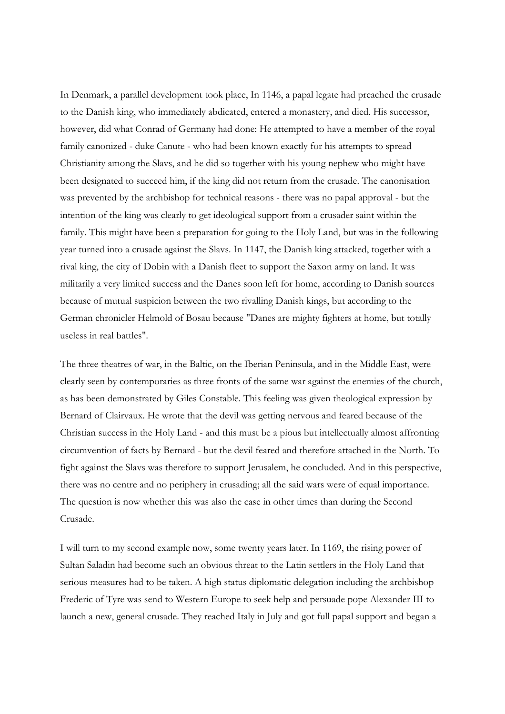In Denmark, a parallel development took place, In 1146, a papal legate had preached the crusade to the Danish king, who immediately abdicated, entered a monastery, and died. His successor, however, did what Conrad of Germany had done: He attempted to have a member of the royal family canonized - duke Canute - who had been known exactly for his attempts to spread Christianity among the Slavs, and he did so together with his young nephew who might have been designated to succeed him, if the king did not return from the crusade. The canonisation was prevented by the archbishop for technical reasons - there was no papal approval - but the intention of the king was clearly to get ideological support from a crusader saint within the family. This might have been a preparation for going to the Holy Land, but was in the following year turned into a crusade against the Slavs. In 1147, the Danish king attacked, together with a rival king, the city of Dobin with a Danish fleet to support the Saxon army on land. It was militarily a very limited success and the Danes soon left for home, according to Danish sources because of mutual suspicion between the two rivalling Danish kings, but according to the German chronicler Helmold of Bosau because "Danes are mighty fighters at home, but totally useless in real battles".

The three theatres of war, in the Baltic, on the Iberian Peninsula, and in the Middle East, were clearly seen by contemporaries as three fronts of the same war against the enemies of the church, as has been demonstrated by Giles Constable. This feeling was given theological expression by Bernard of Clairvaux. He wrote that the devil was getting nervous and feared because of the Christian success in the Holy Land - and this must be a pious but intellectually almost affronting circumvention of facts by Bernard - but the devil feared and therefore attached in the North. To fight against the Slavs was therefore to support Jerusalem, he concluded. And in this perspective, there was no centre and no periphery in crusading; all the said wars were of equal importance. The question is now whether this was also the case in other times than during the Second Crusade.

I will turn to my second example now, some twenty years later. In 1169, the rising power of Sultan Saladin had become such an obvious threat to the Latin settlers in the Holy Land that serious measures had to be taken. A high status diplomatic delegation including the archbishop Frederic of Tyre was send to Western Europe to seek help and persuade pope Alexander III to launch a new, general crusade. They reached Italy in July and got full papal support and began a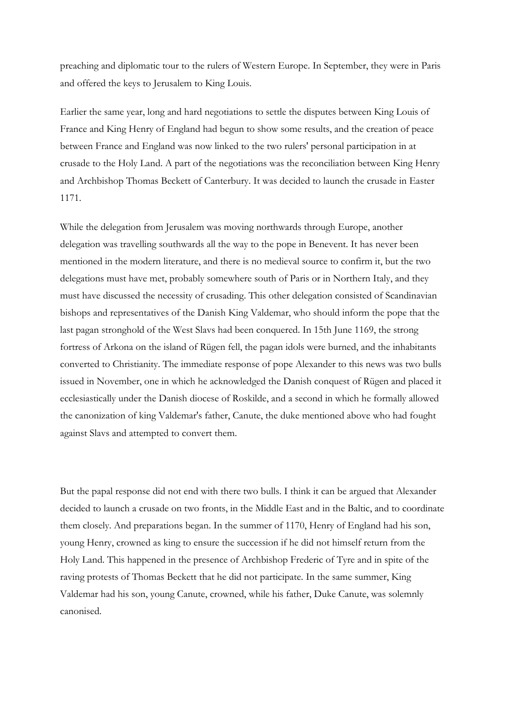preaching and diplomatic tour to the rulers of Western Europe. In September, they were in Paris and offered the keys to Jerusalem to King Louis.

Earlier the same year, long and hard negotiations to settle the disputes between King Louis of France and King Henry of England had begun to show some results, and the creation of peace between France and England was now linked to the two rulers' personal participation in at crusade to the Holy Land. A part of the negotiations was the reconciliation between King Henry and Archbishop Thomas Beckett of Canterbury. It was decided to launch the crusade in Easter 1171.

While the delegation from Jerusalem was moving northwards through Europe, another delegation was travelling southwards all the way to the pope in Benevent. It has never been mentioned in the modern literature, and there is no medieval source to confirm it, but the two delegations must have met, probably somewhere south of Paris or in Northern Italy, and they must have discussed the necessity of crusading. This other delegation consisted of Scandinavian bishops and representatives of the Danish King Valdemar, who should inform the pope that the last pagan stronghold of the West Slavs had been conquered. In 15th June 1169, the strong fortress of Arkona on the island of Rügen fell, the pagan idols were burned, and the inhabitants converted to Christianity. The immediate response of pope Alexander to this news was two bulls issued in November, one in which he acknowledged the Danish conquest of Rügen and placed it ecclesiastically under the Danish diocese of Roskilde, and a second in which he formally allowed the canonization of king Valdemar's father, Canute, the duke mentioned above who had fought against Slavs and attempted to convert them.

But the papal response did not end with there two bulls. I think it can be argued that Alexander decided to launch a crusade on two fronts, in the Middle East and in the Baltic, and to coordinate them closely. And preparations began. In the summer of 1170, Henry of England had his son, young Henry, crowned as king to ensure the succession if he did not himself return from the Holy Land. This happened in the presence of Archbishop Frederic of Tyre and in spite of the raving protests of Thomas Beckett that he did not participate. In the same summer, King Valdemar had his son, young Canute, crowned, while his father, Duke Canute, was solemnly canonised.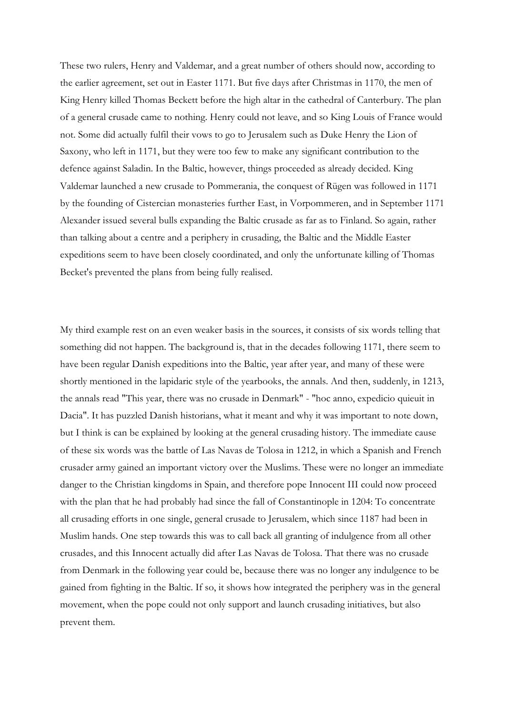These two rulers, Henry and Valdemar, and a great number of others should now, according to the earlier agreement, set out in Easter 1171. But five days after Christmas in 1170, the men of King Henry killed Thomas Beckett before the high altar in the cathedral of Canterbury. The plan of a general crusade came to nothing. Henry could not leave, and so King Louis of France would not. Some did actually fulfil their vows to go to Jerusalem such as Duke Henry the Lion of Saxony, who left in 1171, but they were too few to make any significant contribution to the defence against Saladin. In the Baltic, however, things proceeded as already decided. King Valdemar launched a new crusade to Pommerania, the conquest of Rügen was followed in 1171 by the founding of Cistercian monasteries further East, in Vorpommeren, and in September 1171 Alexander issued several bulls expanding the Baltic crusade as far as to Finland. So again, rather than talking about a centre and a periphery in crusading, the Baltic and the Middle Easter expeditions seem to have been closely coordinated, and only the unfortunate killing of Thomas Becket's prevented the plans from being fully realised.

My third example rest on an even weaker basis in the sources, it consists of six words telling that something did not happen. The background is, that in the decades following 1171, there seem to have been regular Danish expeditions into the Baltic, year after year, and many of these were shortly mentioned in the lapidaric style of the yearbooks, the annals. And then, suddenly, in 1213, the annals read "This year, there was no crusade in Denmark" - "hoc anno, expedicio quieuit in Dacia". It has puzzled Danish historians, what it meant and why it was important to note down, but I think is can be explained by looking at the general crusading history. The immediate cause of these six words was the battle of Las Navas de Tolosa in 1212, in which a Spanish and French crusader army gained an important victory over the Muslims. These were no longer an immediate danger to the Christian kingdoms in Spain, and therefore pope Innocent III could now proceed with the plan that he had probably had since the fall of Constantinople in 1204: To concentrate all crusading efforts in one single, general crusade to Jerusalem, which since 1187 had been in Muslim hands. One step towards this was to call back all granting of indulgence from all other crusades, and this Innocent actually did after Las Navas de Tolosa. That there was no crusade from Denmark in the following year could be, because there was no longer any indulgence to be gained from fighting in the Baltic. If so, it shows how integrated the periphery was in the general movement, when the pope could not only support and launch crusading initiatives, but also prevent them.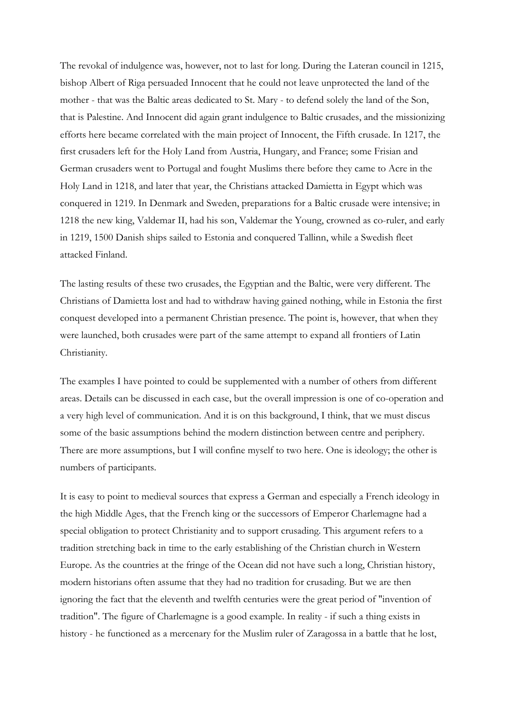The revokal of indulgence was, however, not to last for long. During the Lateran council in 1215, bishop Albert of Riga persuaded Innocent that he could not leave unprotected the land of the mother - that was the Baltic areas dedicated to St. Mary - to defend solely the land of the Son, that is Palestine. And Innocent did again grant indulgence to Baltic crusades, and the missionizing efforts here became correlated with the main project of Innocent, the Fifth crusade. In 1217, the first crusaders left for the Holy Land from Austria, Hungary, and France; some Frisian and German crusaders went to Portugal and fought Muslims there before they came to Acre in the Holy Land in 1218, and later that year, the Christians attacked Damietta in Egypt which was conquered in 1219. In Denmark and Sweden, preparations for a Baltic crusade were intensive; in 1218 the new king, Valdemar II, had his son, Valdemar the Young, crowned as co-ruler, and early in 1219, 1500 Danish ships sailed to Estonia and conquered Tallinn, while a Swedish fleet attacked Finland.

The lasting results of these two crusades, the Egyptian and the Baltic, were very different. The Christians of Damietta lost and had to withdraw having gained nothing, while in Estonia the first conquest developed into a permanent Christian presence. The point is, however, that when they were launched, both crusades were part of the same attempt to expand all frontiers of Latin Christianity.

The examples I have pointed to could be supplemented with a number of others from different areas. Details can be discussed in each case, but the overall impression is one of co-operation and a very high level of communication. And it is on this background, I think, that we must discus some of the basic assumptions behind the modern distinction between centre and periphery. There are more assumptions, but I will confine myself to two here. One is ideology; the other is numbers of participants.

It is easy to point to medieval sources that express a German and especially a French ideology in the high Middle Ages, that the French king or the successors of Emperor Charlemagne had a special obligation to protect Christianity and to support crusading. This argument refers to a tradition stretching back in time to the early establishing of the Christian church in Western Europe. As the countries at the fringe of the Ocean did not have such a long, Christian history, modern historians often assume that they had no tradition for crusading. But we are then ignoring the fact that the eleventh and twelfth centuries were the great period of "invention of tradition". The figure of Charlemagne is a good example. In reality - if such a thing exists in history - he functioned as a mercenary for the Muslim ruler of Zaragossa in a battle that he lost,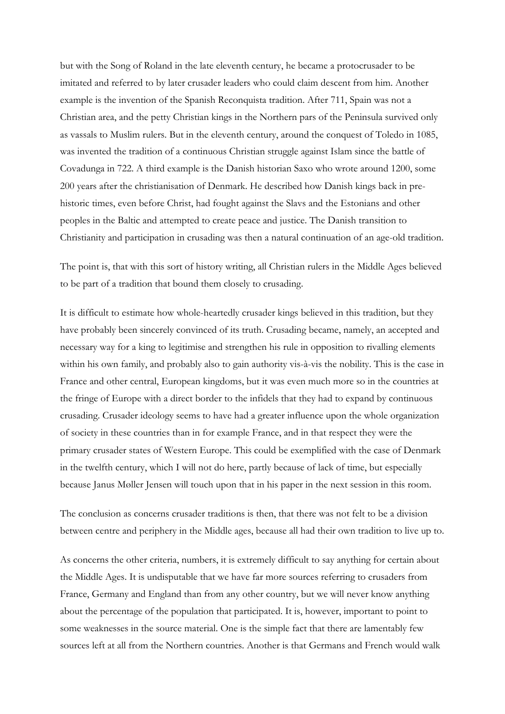but with the Song of Roland in the late eleventh century, he became a protocrusader to be imitated and referred to by later crusader leaders who could claim descent from him. Another example is the invention of the Spanish Reconquista tradition. After 711, Spain was not a Christian area, and the petty Christian kings in the Northern pars of the Peninsula survived only as vassals to Muslim rulers. But in the eleventh century, around the conquest of Toledo in 1085, was invented the tradition of a continuous Christian struggle against Islam since the battle of Covadunga in 722. A third example is the Danish historian Saxo who wrote around 1200, some 200 years after the christianisation of Denmark. He described how Danish kings back in prehistoric times, even before Christ, had fought against the Slavs and the Estonians and other peoples in the Baltic and attempted to create peace and justice. The Danish transition to Christianity and participation in crusading was then a natural continuation of an age-old tradition.

The point is, that with this sort of history writing, all Christian rulers in the Middle Ages believed to be part of a tradition that bound them closely to crusading.

It is difficult to estimate how whole-heartedly crusader kings believed in this tradition, but they have probably been sincerely convinced of its truth. Crusading became, namely, an accepted and necessary way for a king to legitimise and strengthen his rule in opposition to rivalling elements within his own family, and probably also to gain authority vis-à-vis the nobility. This is the case in France and other central, European kingdoms, but it was even much more so in the countries at the fringe of Europe with a direct border to the infidels that they had to expand by continuous crusading. Crusader ideology seems to have had a greater influence upon the whole organization of society in these countries than in for example France, and in that respect they were the primary crusader states of Western Europe. This could be exemplified with the case of Denmark in the twelfth century, which I will not do here, partly because of lack of time, but especially because Janus Møller Jensen will touch upon that in his paper in the next session in this room.

The conclusion as concerns crusader traditions is then, that there was not felt to be a division between centre and periphery in the Middle ages, because all had their own tradition to live up to.

As concerns the other criteria, numbers, it is extremely difficult to say anything for certain about the Middle Ages. It is undisputable that we have far more sources referring to crusaders from France, Germany and England than from any other country, but we will never know anything about the percentage of the population that participated. It is, however, important to point to some weaknesses in the source material. One is the simple fact that there are lamentably few sources left at all from the Northern countries. Another is that Germans and French would walk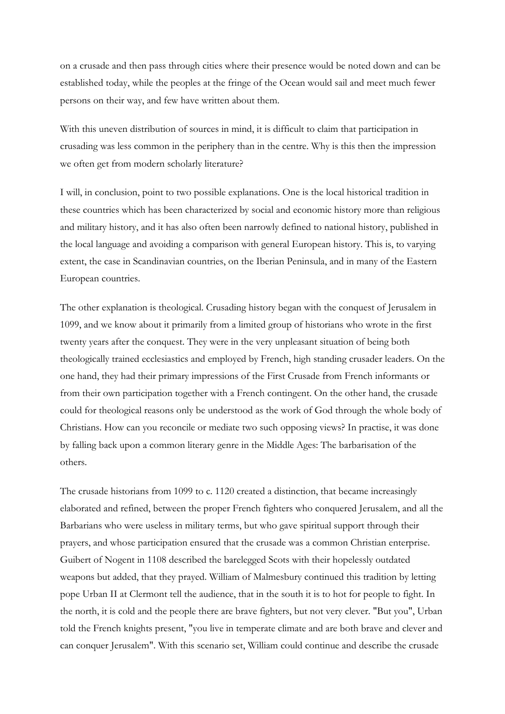on a crusade and then pass through cities where their presence would be noted down and can be established today, while the peoples at the fringe of the Ocean would sail and meet much fewer persons on their way, and few have written about them.

With this uneven distribution of sources in mind, it is difficult to claim that participation in crusading was less common in the periphery than in the centre. Why is this then the impression we often get from modern scholarly literature?

I will, in conclusion, point to two possible explanations. One is the local historical tradition in these countries which has been characterized by social and economic history more than religious and military history, and it has also often been narrowly defined to national history, published in the local language and avoiding a comparison with general European history. This is, to varying extent, the case in Scandinavian countries, on the Iberian Peninsula, and in many of the Eastern European countries.

The other explanation is theological. Crusading history began with the conquest of Jerusalem in 1099, and we know about it primarily from a limited group of historians who wrote in the first twenty years after the conquest. They were in the very unpleasant situation of being both theologically trained ecclesiastics and employed by French, high standing crusader leaders. On the one hand, they had their primary impressions of the First Crusade from French informants or from their own participation together with a French contingent. On the other hand, the crusade could for theological reasons only be understood as the work of God through the whole body of Christians. How can you reconcile or mediate two such opposing views? In practise, it was done by falling back upon a common literary genre in the Middle Ages: The barbarisation of the others.

The crusade historians from 1099 to c. 1120 created a distinction, that became increasingly elaborated and refined, between the proper French fighters who conquered Jerusalem, and all the Barbarians who were useless in military terms, but who gave spiritual support through their prayers, and whose participation ensured that the crusade was a common Christian enterprise. Guibert of Nogent in 1108 described the barelegged Scots with their hopelessly outdated weapons but added, that they prayed. William of Malmesbury continued this tradition by letting pope Urban II at Clermont tell the audience, that in the south it is to hot for people to fight. In the north, it is cold and the people there are brave fighters, but not very clever. "But you", Urban told the French knights present, "you live in temperate climate and are both brave and clever and can conquer Jerusalem". With this scenario set, William could continue and describe the crusade